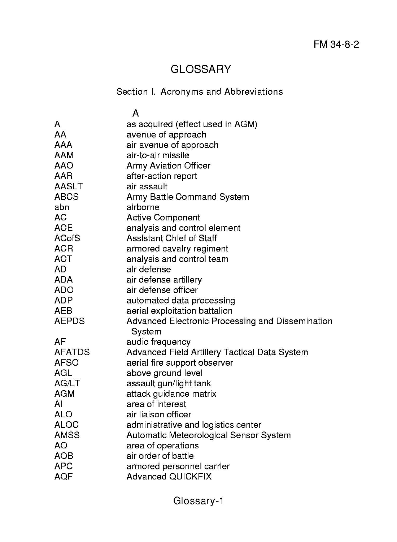## **GLOSSARY**

## Section I. Acronyms and Abbreviations

## A AA AAA AAM AAO AAR AASLT ABCS abn AC ACE ACofS ACR ACT AD ADA ADO ADP AEB AEPDS AF AFATDS AFSO AGL AG/LT AGM AI ALO ALOC AMSS AO AOB APC AQF A as acquired (effect used in AGM) avenue of approach air avenue of approach air-to-air missile Army Aviation Officer after-action report air assault Army Battle Command System airborne Active Component analysis and control element Assistant Chief of Staff armored cavalry regiment analysis and control team air defense air defense artillery air defense officer automated data processing aerial exploitation battalion Advanced Electronic Processing and Dissemination System audio frequency Advanced Field Artillery Tactical Data System aerial fire support observer above ground level assault gun/light tank attack guidance matrix area of interest air liaison officer administrative and logistics center Automatic Meteorological Sensor System area of operations air order of battle armored personnel carrier Advanced QUICKFIX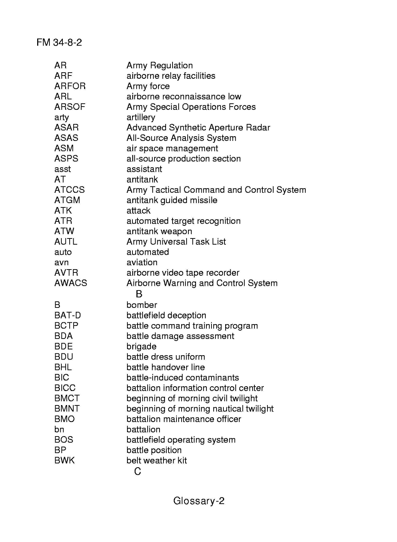**FM** 34-8-2

| AR           | <b>Army Regulation</b>                   |
|--------------|------------------------------------------|
| <b>ARF</b>   | airborne relay facilities                |
| <b>ARFOR</b> | Army force                               |
| ARL          | airborne reconnaissance low              |
| <b>ARSOF</b> | Army Special Operations Forces           |
| arty         | artillery                                |
| ASAR         | Advanced Synthetic Aperture Radar        |
| <b>ASAS</b>  | All-Source Analysis System               |
| ASM          | air space management                     |
| <b>ASPS</b>  | all-source production section            |
| asst         | assistant                                |
| AT           | antitank                                 |
| <b>ATCCS</b> | Army Tactical Command and Control System |
| <b>ATGM</b>  | antitank guided missile                  |
| <b>ATK</b>   | attack                                   |
| ATR          | automated target recognition             |
| <b>ATW</b>   | antitank weapon                          |
| AUTL         | Army Universal Task List                 |
| auto         | automated                                |
| avn          | aviation                                 |
| <b>AVTR</b>  | airborne video tape recorder             |
| <b>AWACS</b> | Airborne Warning and Control System      |
|              | B                                        |
| в            | bomber                                   |
| BAT-D        | battlefield deception                    |
| <b>BCTP</b>  | battle command training program          |
| <b>BDA</b>   | battle damage assessment                 |
| BDE          | brigade                                  |
| <b>BDU</b>   | battle dress uniform                     |
| <b>BHL</b>   | battle handover line                     |
| BIC          | battle-induced contaminants              |
| <b>BICC</b>  | battalion information control center     |
| <b>BMCT</b>  | beginning of morning civil twilight      |
| <b>BMNT</b>  | beginning of morning nautical twilight   |
| <b>BMO</b>   | battalion maintenance officer            |
| bn           | battalion                                |
| BOS          | battlefield operating system             |
| BP           | battle position                          |
| <b>BWK</b>   | belt weather kit                         |
|              | С                                        |